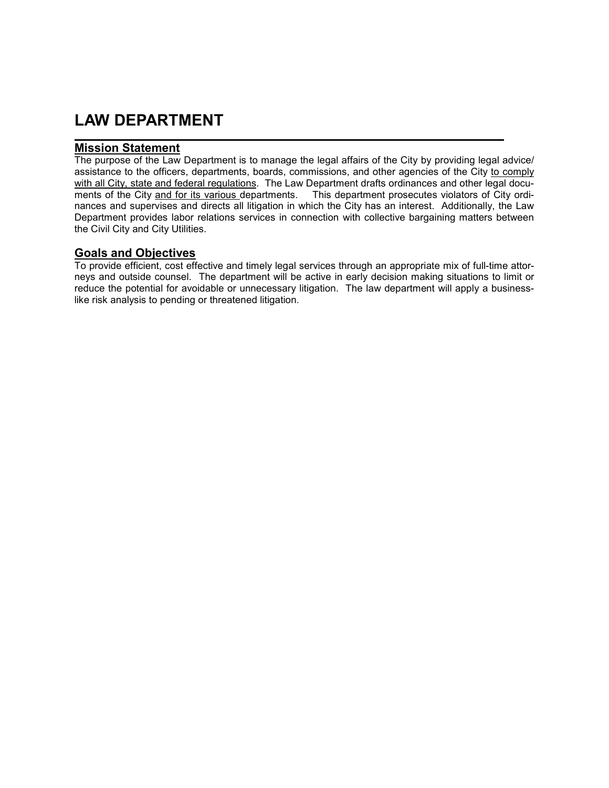## **LAW DEPARTMENT**

## **Mission Statement**

The purpose of the Law Department is to manage the legal affairs of the City by providing legal advice/ assistance to the officers, departments, boards, commissions, and other agencies of the City to comply with all City, state and federal regulations. The Law Department drafts ordinances and other legal documents of the City and for its various departments. This department prosecutes violators of City ordinances and supervises and directs all litigation in which the City has an interest. Additionally, the Law Department provides labor relations services in connection with collective bargaining matters between the Civil City and City Utilities.

## **Goals and Objectives**

To provide efficient, cost effective and timely legal services through an appropriate mix of full-time attorneys and outside counsel. The department will be active in early decision making situations to limit or reduce the potential for avoidable or unnecessary litigation. The law department will apply a businesslike risk analysis to pending or threatened litigation.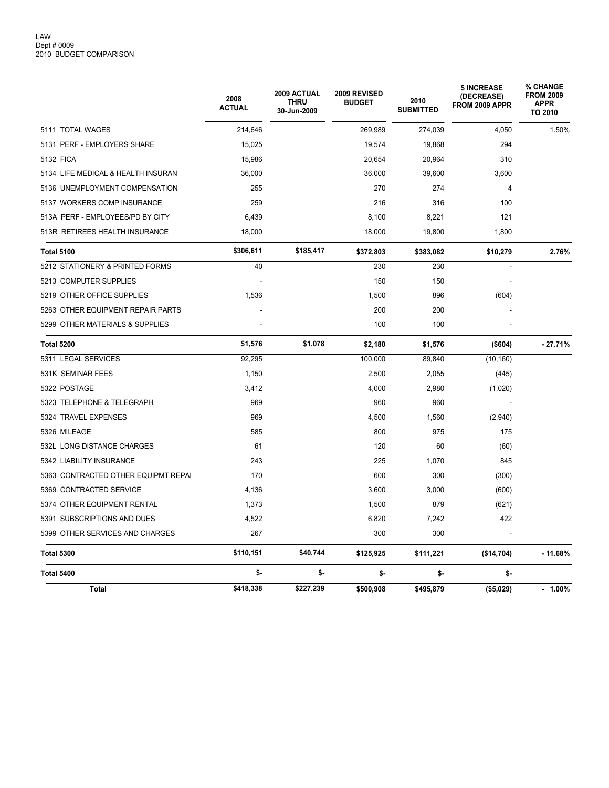|                                     | 2008<br><b>ACTUAL</b> | <b>2009 ACTUAL</b><br><b>THRU</b><br>30-Jun-2009 | 2009 REVISED<br><b>BUDGET</b> | 2010<br><b>SUBMITTED</b> | \$ INCREASE<br>(DECREASE)<br>FROM 2009 APPR | % CHANGE<br><b>FROM 2009</b><br><b>APPR</b><br>TO 2010 |
|-------------------------------------|-----------------------|--------------------------------------------------|-------------------------------|--------------------------|---------------------------------------------|--------------------------------------------------------|
| 5111 TOTAL WAGES                    | 214,646               |                                                  | 269,989                       | 274,039                  | 4,050                                       | 1.50%                                                  |
| 5131 PERF - EMPLOYERS SHARE         | 15,025                |                                                  | 19,574                        | 19,868                   | 294                                         |                                                        |
| 5132 FICA                           | 15,986                |                                                  | 20,654                        | 20,964                   | 310                                         |                                                        |
| 5134 LIFE MEDICAL & HEALTH INSURAN  | 36,000                |                                                  | 36,000                        | 39,600                   | 3,600                                       |                                                        |
| 5136 UNEMPLOYMENT COMPENSATION      | 255                   |                                                  | 270                           | 274                      | $\overline{4}$                              |                                                        |
| 5137 WORKERS COMP INSURANCE         | 259                   |                                                  | 216                           | 316                      | 100                                         |                                                        |
| 513A PERF - EMPLOYEES/PD BY CITY    | 6,439                 |                                                  | 8,100                         | 8,221                    | 121                                         |                                                        |
| 513R RETIREES HEALTH INSURANCE      | 18,000                |                                                  | 18,000                        | 19,800                   | 1,800                                       |                                                        |
| <b>Total 5100</b>                   | \$306,611             | \$185,417                                        | \$372,803                     | \$383,082                | \$10,279                                    | 2.76%                                                  |
| 5212 STATIONERY & PRINTED FORMS     | 40                    |                                                  | 230                           | 230                      |                                             |                                                        |
| 5213 COMPUTER SUPPLIES              |                       |                                                  | 150                           | 150                      |                                             |                                                        |
| 5219 OTHER OFFICE SUPPLIES          | 1,536                 |                                                  | 1,500                         | 896                      | (604)                                       |                                                        |
| 5263 OTHER EQUIPMENT REPAIR PARTS   |                       |                                                  | 200                           | 200                      |                                             |                                                        |
| 5299 OTHER MATERIALS & SUPPLIES     |                       |                                                  | 100                           | 100                      |                                             |                                                        |
| <b>Total 5200</b>                   | \$1,576               | \$1,078                                          | \$2,180                       | \$1,576                  | (\$604)                                     | $-27.71%$                                              |
| 5311 LEGAL SERVICES                 | 92,295                |                                                  | 100,000                       | 89,840                   | (10, 160)                                   |                                                        |
| 531K SEMINAR FEES                   | 1,150                 |                                                  | 2,500                         | 2,055                    | (445)                                       |                                                        |
| 5322 POSTAGE                        | 3,412                 |                                                  | 4,000                         | 2,980                    | (1,020)                                     |                                                        |
| 5323 TELEPHONE & TELEGRAPH          | 969                   |                                                  | 960                           | 960                      |                                             |                                                        |
| 5324 TRAVEL EXPENSES                | 969                   |                                                  | 4,500                         | 1,560                    | (2,940)                                     |                                                        |
| 5326 MILEAGE                        | 585                   |                                                  | 800                           | 975                      | 175                                         |                                                        |
| 532L LONG DISTANCE CHARGES          | 61                    |                                                  | 120                           | 60                       | (60)                                        |                                                        |
| 5342 LIABILITY INSURANCE            | 243                   |                                                  | 225                           | 1,070                    | 845                                         |                                                        |
| 5363 CONTRACTED OTHER EQUIPMT REPAI | 170                   |                                                  | 600                           | 300                      | (300)                                       |                                                        |
| 5369 CONTRACTED SERVICE             | 4,136                 |                                                  | 3,600                         | 3,000                    | (600)                                       |                                                        |
| 5374 OTHER EQUIPMENT RENTAL         | 1,373                 |                                                  | 1,500                         | 879                      | (621)                                       |                                                        |
| 5391 SUBSCRIPTIONS AND DUES         | 4,522                 |                                                  | 6,820                         | 7,242                    | 422                                         |                                                        |
| 5399 OTHER SERVICES AND CHARGES     | 267                   |                                                  | 300                           | 300                      |                                             |                                                        |
| <b>Total 5300</b>                   | \$110,151             | \$40,744                                         | \$125,925                     | \$111,221                | (\$14,704)                                  | $-11.68%$                                              |
| <b>Total 5400</b>                   | \$-                   | \$-                                              | \$-                           | \$-                      | \$-                                         |                                                        |
| <b>Total</b>                        | \$418,338             | \$227,239                                        | \$500,908                     | \$495,879                | (\$5,029)                                   | $-1.00%$                                               |